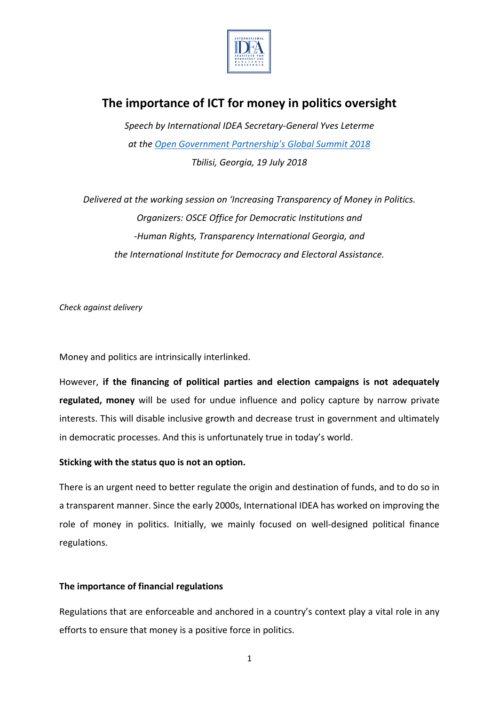

# **The importance of ICT for money in politics oversight**

*Speech by International IDEA Secretary-General Yves Leterme at the [Open Government Partnership's](https://ogpsummit.org/summit) Global Summit 2018 Tbilisi, Georgia, 19 July 2018*

*Delivered at the working session on 'Increasing Transparency of Money in Politics. Organizers: OSCE Office for Democratic Institutions and -Human Rights, Transparency International Georgia, and the International Institute for Democracy and Electoral Assistance.*

*Check against delivery*

Money and politics are intrinsically interlinked.

However, **if the financing of political parties and election campaigns is not adequately regulated, money** will be used for undue influence and policy capture by narrow private interests. This will disable inclusive growth and decrease trust in government and ultimately in democratic processes. And this is unfortunately true in today's world.

## **Sticking with the status quo is not an option.**

There is an urgent need to better regulate the origin and destination of funds, and to do so in a transparent manner. Since the early 2000s, International IDEA has worked on improving the role of money in politics. Initially, we mainly focused on well-designed political finance regulations.

## **The importance of financial regulations**

Regulations that are enforceable and anchored in a country's context play a vital role in any efforts to ensure that money is a positive force in politics.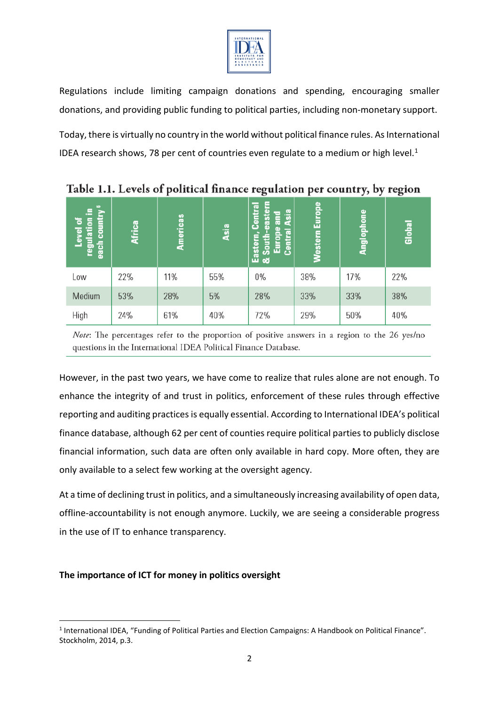

Regulations include limiting campaign donations and spending, encouraging smaller donations, and providing public funding to political parties, including non-monetary support.

Today, there is virtually no country in the world without political finance rules. As International IDEA research shows, 78 per cent of countries even regulate to a medium or high level. $1$ 

| each country <sup>6</sup><br>Æ,<br>$\overline{\mathbf{s}}$<br>ㅎ<br>regulatio<br>Level | <b>Africa</b> | Americas | Asia | eastern<br>entral<br>Asia<br>and<br>ō<br>Europe<br>Central<br>South-<br>Eastel<br>& Sou | Western Europe | Anglophone | Global |
|---------------------------------------------------------------------------------------|---------------|----------|------|-----------------------------------------------------------------------------------------|----------------|------------|--------|
| Low                                                                                   | 22%           | 11%      | 55%  | 0%                                                                                      | 38%            | 17%        | 22%    |
| Medium                                                                                | 53%           | 28%      | 5%   | 28%                                                                                     | 33%            | 33%        | 38%    |
| High                                                                                  | 24%           | 61%      | 40%  | 72%                                                                                     | 29%            | 50%        | 40%    |

Table 1.1. Levels of political finance regulation per country, by region

*Note*: The percentages refer to the proportion of positive answers in a region to the 26 yes/no questions in the International IDEA Political Finance Database.

However, in the past two years, we have come to realize that rules alone are not enough. To enhance the integrity of and trust in politics, enforcement of these rules through effective reporting and auditing practices is equally essential. According to International IDEA's political finance database, although 62 per cent of counties require political parties to publicly disclose financial information, such data are often only available in hard copy. More often, they are only available to a select few working at the oversight agency.

At a time of declining trust in politics, and a simultaneously increasing availability of open data, offline-accountability is not enough anymore. Luckily, we are seeing a considerable progress in the use of IT to enhance transparency.

## **The importance of ICT for money in politics oversight**

<span id="page-1-0"></span> <sup>1</sup> International IDEA, "Funding of Political Parties and Election Campaigns: A Handbook on Political Finance". Stockholm, 2014, p.3.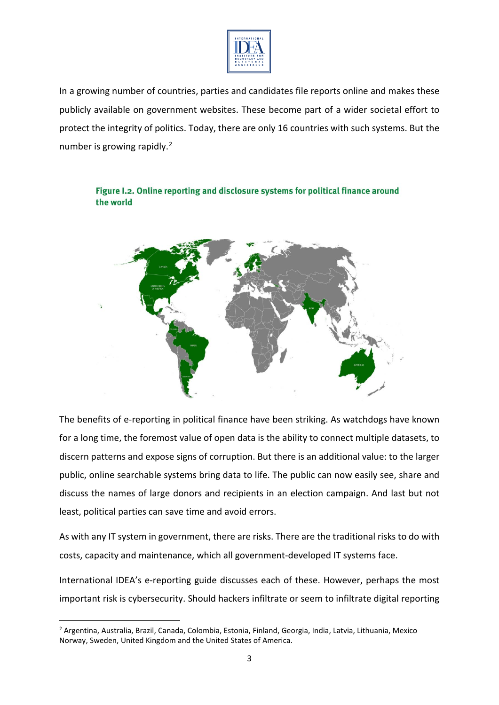

In a growing number of countries, parties and candidates file reports online and makes these publicly available on government websites. These become part of a wider societal effort to protect the integrity of politics. Today, there are only 16 countries with such systems. But the number is growing rapidly.<sup>[2](#page-2-0)</sup>



Figure I.2. Online reporting and disclosure systems for political finance around the world

The benefits of e-reporting in political finance have been striking. As watchdogs have known for a long time, the foremost value of open data is the ability to connect multiple datasets, to discern patterns and expose signs of corruption. But there is an additional value: to the larger public, online searchable systems bring data to life. The public can now easily see, share and discuss the names of large donors and recipients in an election campaign. And last but not least, political parties can save time and avoid errors.

As with any IT system in government, there are risks. There are the traditional risks to do with costs, capacity and maintenance, which all government-developed IT systems face.

International IDEA's e-reporting guide discusses each of these. However, perhaps the most important risk is cybersecurity. Should hackers infiltrate or seem to infiltrate digital reporting

<span id="page-2-0"></span> <sup>2</sup> Argentina, Australia, Brazil, Canada, Colombia, Estonia, Finland, Georgia, India, Latvia, Lithuania, Mexico Norway, Sweden, United Kingdom and the United States of America.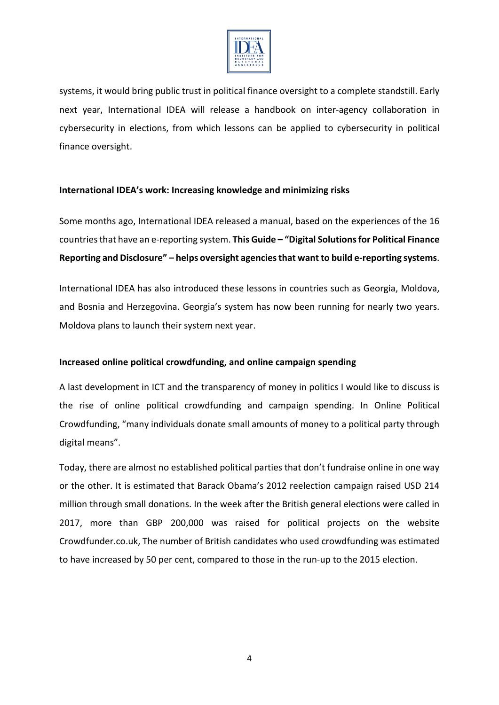

systems, it would bring public trust in political finance oversight to a complete standstill. Early next year, International IDEA will release a handbook on inter-agency collaboration in cybersecurity in elections, from which lessons can be applied to cybersecurity in political finance oversight.

### **International IDEA's work: Increasing knowledge and minimizing risks**

Some months ago, International IDEA released a manual, based on the experiences of the 16 countries that have an e-reporting system. **This Guide – "Digital Solutions for Political Finance Reporting and Disclosure" – helps oversight agencies that want to build e-reporting systems**.

International IDEA has also introduced these lessons in countries such as Georgia, Moldova, and Bosnia and Herzegovina. Georgia's system has now been running for nearly two years. Moldova plans to launch their system next year.

## **Increased online political crowdfunding, and online campaign spending**

A last development in ICT and the transparency of money in politics I would like to discuss is the rise of online political crowdfunding and campaign spending. In Online Political Crowdfunding, "many individuals donate small amounts of money to a political party through digital means".

Today, there are almost no established political parties that don't fundraise online in one way or the other. It is estimated that Barack Obama's 2012 reelection campaign raised USD 214 million through small donations. In the week after the British general elections were called in 2017, more than GBP 200,000 was raised for political projects on the website Crowdfunder.co.uk, The number of British candidates who used crowdfunding was estimated to have increased by 50 per cent, compared to those in the run-up to the 2015 election.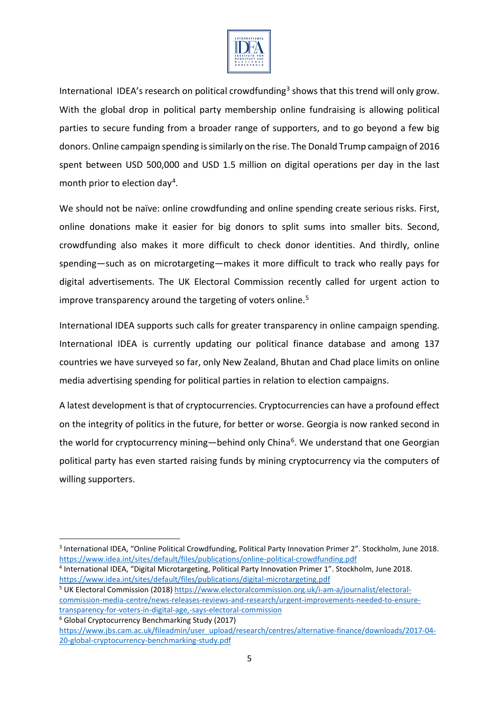

International IDEA's research on political crowdfunding<sup>[3](#page-4-0)</sup> shows that this trend will only grow. With the global drop in political party membership online fundraising is allowing political parties to secure funding from a broader range of supporters, and to go beyond a few big donors. Online campaign spending is similarly on the rise. The Donald Trump campaign of 2016 spent between USD 500,000 and USD 1.5 million on digital operations per day in the last month prior to election day<sup>4</sup>.

We should not be naïve: online crowdfunding and online spending create serious risks. First, online donations make it easier for big donors to split sums into smaller bits. Second, crowdfunding also makes it more difficult to check donor identities. And thirdly, online spending—such as on microtargeting—makes it more difficult to track who really pays for digital advertisements. The UK Electoral Commission recently called for urgent action to improve transparency around the targeting of voters online.<sup>[5](#page-4-2)</sup>

International IDEA supports such calls for greater transparency in online campaign spending. International IDEA is currently updating our political finance database and among 137 countries we have surveyed so far, only New Zealand, Bhutan and Chad place limits on online media advertising spending for political parties in relation to election campaigns.

A latest development is that of cryptocurrencies. Cryptocurrencies can have a profound effect on the integrity of politics in the future, for better or worse. Georgia is now ranked second in the world for cryptocurrency mining—behind only China<sup>[6](#page-4-3)</sup>. We understand that one Georgian political party has even started raising funds by mining cryptocurrency via the computers of willing supporters.

<span id="page-4-2"></span><sup>5</sup> UK Electoral Commission (2018[\) https://www.electoralcommission.org.uk/i-am-a/journalist/electoral](https://www.electoralcommission.org.uk/i-am-a/journalist/electoral-commission-media-centre/news-releases-reviews-and-research/urgent-improvements-needed-to-ensure-transparency-for-voters-in-digital-age,-says-electoral-commission)[commission-media-centre/news-releases-reviews-and-research/urgent-improvements-needed-to-ensure](https://www.electoralcommission.org.uk/i-am-a/journalist/electoral-commission-media-centre/news-releases-reviews-and-research/urgent-improvements-needed-to-ensure-transparency-for-voters-in-digital-age,-says-electoral-commission)[transparency-for-voters-in-digital-age,-says-electoral-commission](https://www.electoralcommission.org.uk/i-am-a/journalist/electoral-commission-media-centre/news-releases-reviews-and-research/urgent-improvements-needed-to-ensure-transparency-for-voters-in-digital-age,-says-electoral-commission) <sup>6</sup> Global Cryptocurrency Benchmarking Study (2017)

<span id="page-4-0"></span> <sup>3</sup> International IDEA, "Online Political Crowdfunding, Political Party Innovation Primer 2". Stockholm, June 2018. <https://www.idea.int/sites/default/files/publications/online-political-crowdfunding.pdf>

<span id="page-4-1"></span><sup>4</sup> International IDEA, "Digital Microtargeting, Political Party Innovation Primer 1". Stockholm, June 2018. <https://www.idea.int/sites/default/files/publications/digital-microtargeting.pdf>

<span id="page-4-3"></span>[https://www.jbs.cam.ac.uk/fileadmin/user\\_upload/research/centres/alternative-finance/downloads/2017-04-](https://www.jbs.cam.ac.uk/fileadmin/user_upload/research/centres/alternative-finance/downloads/2017-04-20-global-cryptocurrency-benchmarking-study.pdf) [20-global-cryptocurrency-benchmarking-study.pdf](https://www.jbs.cam.ac.uk/fileadmin/user_upload/research/centres/alternative-finance/downloads/2017-04-20-global-cryptocurrency-benchmarking-study.pdf)